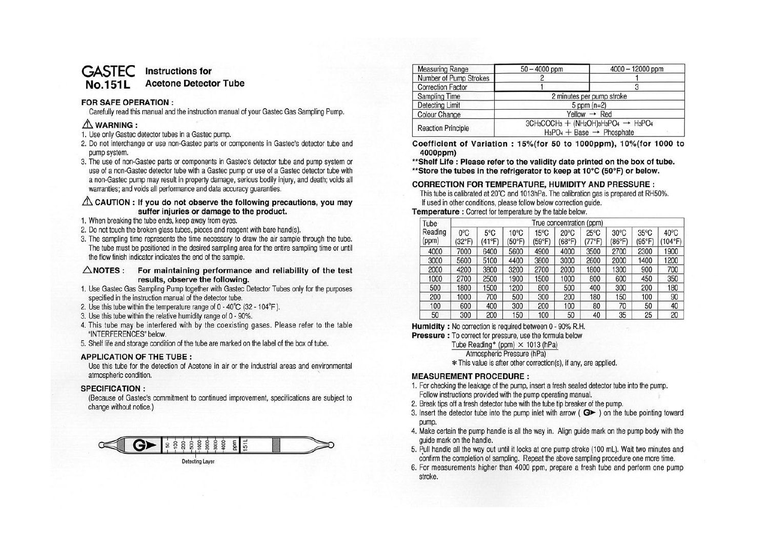#### **GASTEC No.151 L Instructions for Acetone Detector Tube**

### **FOR SAFE OPERATION** :

Carefully read this manual and the instruction manual of your Gastec Gas Sampling Pump.

# $\triangle$  WARNING:

- 1. Use only Gastec detector tubes in a Gastec pump.
- 2. Do not interchange or use non-Gastec parts or components in Gastec's detector tube and pump system.
- 3. The use of non-Gastec parts or components in Gastec's detector tube and pump system or use of a non-Gastec detector tube with a Gastec pump or use of a Gastec detector tube with a non-Gastec pump may result in property damage, serious bodily injury, and death; voids all warranties; and voids all performance and data accuracy guaranties.

### .&. **CAUTION : If you do not observe the following precautions, you may suffer injuries or damage to the product.**

- 1. When breaking the tube ends, keep away from eyes.
- 2. Do not touch the broken glass tubes, pieces and reagent with bare hand(s).
- 3. The sampling time represents the time necessary to draw the air sample through the tube. The tube must be positioned in the desired sampling area for the entire sampling time or until the flow finish indicator indicates the end of the sample.

**.6.NOTES: For maintaining performance and reliability of the test results, observe the following.** 

- 1. Use Gastec Gas Sampling Pump together with Gastec Detector Tubes only for the purposes specified in the instruction manual of the detector tube.
- 2. Use this tube within the temperature range of O 40°C (32 104°F ).
- 3. Use this tube within the relative humidity range of O 90%.
- 4. This tube may be interfered with by the coexisting gases. Please refer to the table "INTERFERENCES" below.
- 5. Shelf life and storage condition of the tube are marked on the label of the box of tube.

### **APPLICATION OF THE TUBE** :

Use this tube for the detection of Acetone in air or the industrial areas and environmental atmospheric condition.

### **SPECIFICATION** :

(Because of Gastec's commitment to continued improvement, specifications are subject to change without notice.)



| <b>Measuring Range</b>    | $50 - 4000$ ppm                                                                                   | $4000 - 12000$ ppm |  |
|---------------------------|---------------------------------------------------------------------------------------------------|--------------------|--|
| Number of Pump Strokes    |                                                                                                   |                    |  |
| <b>Correction Factor</b>  |                                                                                                   |                    |  |
| <b>Sampling Time</b>      | 2 minutes per pump stroke                                                                         |                    |  |
| Detecting Limit           | $5$ ppm $(n=2)$                                                                                   |                    |  |
| <b>Colour Change</b>      | Yellow $\rightarrow$ Red                                                                          |                    |  |
| <b>Reaction Principle</b> | $3CH_3COCH_3 + (NH_2OH)_{3}H_3PO_4 \rightarrow H_3PO_4$<br>$H_3PO_4 + Base \rightarrow Phosphate$ |                    |  |

**Coefficient of Variation : 15%(for 50 to 1 000ppm), 1 0%(for 1000 to 4000ppm)** 

**\*\*Shelf Life : Please refer to the validity date printed on the box of tube.** 

**\*\*Store the tubes in the refrigerator to keep at 10°c (50°F) or below.** 

## **CORRECTION FOR TEMPERATURE, HUMIDITY AND PRESSURE:**

This tube is calibrated at 20°C and 1013hPa. The calibration gas is prepared at RH50%. If used in other conditions, please follow below correction guide.

### **Temperature** : Correct for temperature by the table below.

| Tube             |                                  | True concentration (ppm) |                          |                          |                          |                          |                          |                                   |                 |
|------------------|----------------------------------|--------------------------|--------------------------|--------------------------|--------------------------|--------------------------|--------------------------|-----------------------------------|-----------------|
| Reading<br>(ppm) | $0^{\circ}$ C<br>$(32^{\circ}F)$ | $5^{\circ}$ C<br>(41°F)  | $10^{\circ}$ C<br>(50°F) | $15^{\circ}$ C<br>(59°F) | $20^{\circ}$ C<br>(68°F) | $25^{\circ}$ C<br>(77°F) | $30^{\circ}$ C<br>(86°F) | $35^{\circ}$ C<br>$(95^{\circ}F)$ | 40°C<br>(104°F) |
| 4000             | 7000                             | 6400                     | 5600                     | 4900                     | 4000                     | 3500                     | 2700                     | 2300                              | 1900            |
| 3000             | 5600                             | 5100                     | 4400                     | 3800                     | 3000                     | 2600                     | 2000                     | 1400                              | 1200            |
| 2000             | 4200                             | 3800                     | 3200                     | 2700                     | 2000                     | 1800                     | 1300                     | 900                               | 700             |
| 1000             | 2700                             | 2500                     | 1900                     | 1500                     | 1000                     | 800                      | 600                      | 450                               | 350             |
| 500              | 1800                             | 1500                     | 1200                     | 800                      | 500                      | 400                      | 300                      | 200                               | 180             |
| 200              | 1000                             | 700                      | 500                      | 300                      | 200                      | 180                      | 150                      | 100                               | 90              |
| 100              | 600                              | 400                      | 300                      | 200                      | 100                      | 80                       | 70                       | 50                                | 40              |
| 50               | 300                              | 200                      | 150                      | 100                      | 50                       | 40                       | 35                       | 25                                | 20              |

**Humidity** : No correction is required between O - 90% R.H.

**Pressure** : To correct for pressure, use the formula below

Tube Reading\* (ppm)  $\times$  1013 (hPa)

Atmospheric Pressure (hPa)

\* This value is after other correction(s), if any, are applied.

### **MEASUREMENT PROCEDURE:**

- 1. For checking the leakage of the pump, insert a fresh sealed detector tube into the pump. Follow instructions provided with the pump operating manual.
- 2. Break tips off a fresh detector tube with the tube tip breaker of the pump.
- 3. Insert the detector tube into the pump inlet with arrow ( $\bigcirc$  ) on the tube pointing toward pump.
- 4. Make certain the pump handle is all the way in. Align guide mark on the pump body with the guide mark on the handle.
- 5. Pull handle all the way out until it locks at one pump stroke (100 ml). Wait two minutes and confirm the completion of sampling. Repeat the above sampling procedure one more time.
- 6. For measurements higher than 4000 ppm, prepare a fresh tube and perform one pump stroke.